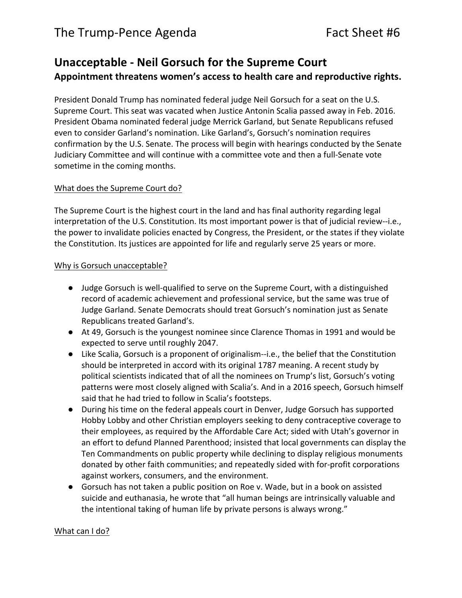## **Unacceptable - Neil Gorsuch for the Supreme Court** Appointment threatens women's access to health care and reproductive rights.

President Donald Trump has nominated federal judge Neil Gorsuch for a seat on the U.S. Supreme Court. This seat was vacated when Justice Antonin Scalia passed away in Feb. 2016. President Obama nominated federal judge Merrick Garland, but Senate Republicans refused even to consider Garland's nomination. Like Garland's, Gorsuch's nomination requires confirmation by the U.S. Senate. The process will begin with hearings conducted by the Senate Judiciary Committee and will continue with a committee vote and then a full-Senate vote sometime in the coming months.

## What does the Supreme Court do?

The Supreme Court is the highest court in the land and has final authority regarding legal interpretation of the U.S. Constitution. Its most important power is that of judicial review--i.e., the power to invalidate policies enacted by Congress, the President, or the states if they violate the Constitution. Its justices are appointed for life and regularly serve 25 years or more.

## Why is Gorsuch unacceptable?

- Judge Gorsuch is well-qualified to serve on the Supreme Court, with a distinguished record of academic achievement and professional service, but the same was true of Judge Garland. Senate Democrats should treat Gorsuch's nomination just as Senate Republicans treated Garland's.
- At 49, Gorsuch is the youngest nominee since Clarence Thomas in 1991 and would be expected to serve until roughly 2047.
- Like Scalia, Gorsuch is a proponent of originalism--i.e., the belief that the Constitution should be interpreted in accord with its original 1787 meaning. A recent study by political scientists indicated that of all the nominees on Trump's list, Gorsuch's voting patterns were most closely aligned with Scalia's. And in a 2016 speech, Gorsuch himself said that he had tried to follow in Scalia's footsteps.
- During his time on the federal appeals court in Denver, Judge Gorsuch has supported Hobby Lobby and other Christian employers seeking to deny contraceptive coverage to their employees, as required by the Affordable Care Act; sided with Utah's governor in an effort to defund Planned Parenthood; insisted that local governments can display the Ten Commandments on public property while declining to display religious monuments donated by other faith communities; and repeatedly sided with for-profit corporations against workers, consumers, and the environment.
- Gorsuch has not taken a public position on Roe v. Wade, but in a book on assisted suicide and euthanasia, he wrote that "all human beings are intrinsically valuable and the intentional taking of human life by private persons is always wrong."

## What can I do?